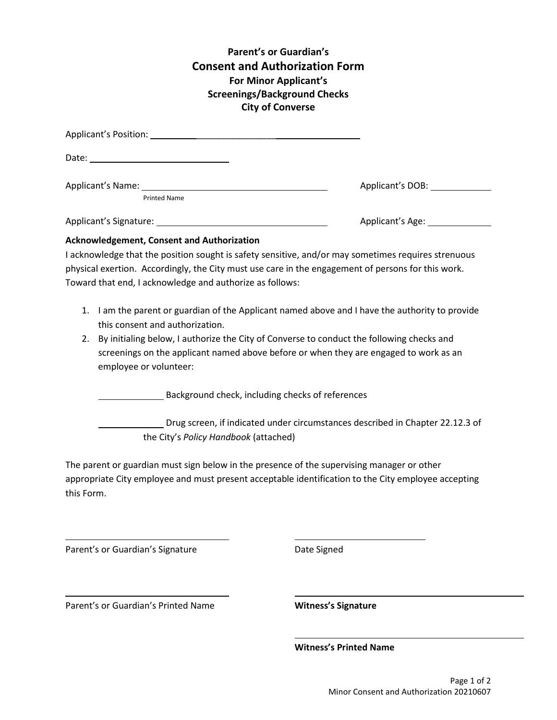## **Parent's or Guardian's Consent and Authorization Form For Minor Applicant's Screenings/Background Checks City of Converse**

| Applicant's Position: Note and the Contract of the Contract of the Contract of the Contract of the Contract of |                  |
|----------------------------------------------------------------------------------------------------------------|------------------|
|                                                                                                                |                  |
| Applicant's Name:                                                                                              | Applicant's DOB: |
| <b>Printed Name</b>                                                                                            |                  |
|                                                                                                                | Applicant's Age: |

## **Acknowledgement, Consent and Authorization**

I acknowledge that the position sought is safety sensitive, and/or may sometimes requires strenuous physical exertion. Accordingly, the City must use care in the engagement of persons for this work. Toward that end, I acknowledge and authorize as follows:

- 1. I am the parent or guardian of the Applicant named above and I have the authority to provide this consent and authorization.
- 2. By initialing below, I authorize the City of Converse to conduct the following checks and screenings on the applicant named above before or when they are engaged to work as an employee or volunteer:

Background check, including checks of references

Drug screen, if indicated under circumstances described in Chapter 22.12.3 of the City's *Policy Handbook* (attached)

The parent or guardian must sign below in the presence of the supervising manager or other appropriate City employee and must present acceptable identification to the City employee accepting this Form.

Parent's or Guardian's Signature **Date Signed** 

Parent's or Guardian's Printed Name **Witness's Signature**

**Witness's Printed Name**